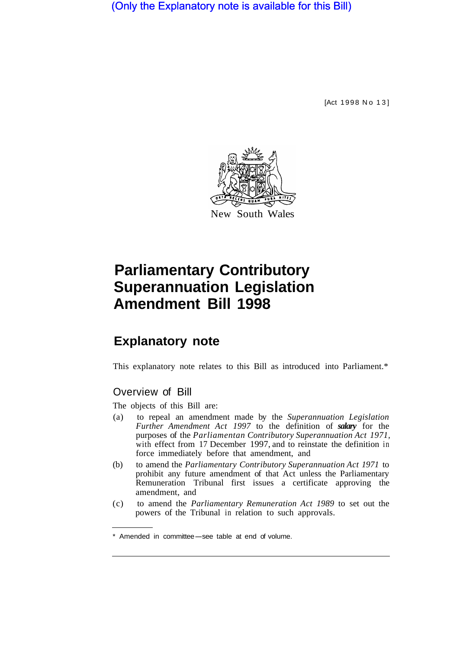(Only the Explanatory note is available for this Bill)

[Act 1998 No 13]



# **Parliamentary Contributory Superannuation Legislation Amendment Bill 1998**

## **Explanatory note**

This explanatory note relates to this Bill as introduced into Parliament.\*

### Overview of Bill

The objects of this Bill are:

- (a) to repeal an amendment made by the *Superannuation Legislation Further Amendment Act 1997* to the definition of *salary* for the purposes of the *Parliamentan Contributory Superannuation Act 1971,*  with effect from 17 December 1997, and to reinstate the definition in force immediately before that amendment, and
- (b) to amend the *Parliamentary Contributory Superannuation Act 1971* to prohibit any future amendment of that Act unless the Parliamentary Remuneration Tribunal first issues a certificate approving the amendment, and
- (c) to amend the *Parliamentary Remuneration Act 1989* to set out the powers of the Tribunal in relation to such approvals.

\* Amended in committee-see table at end of volume.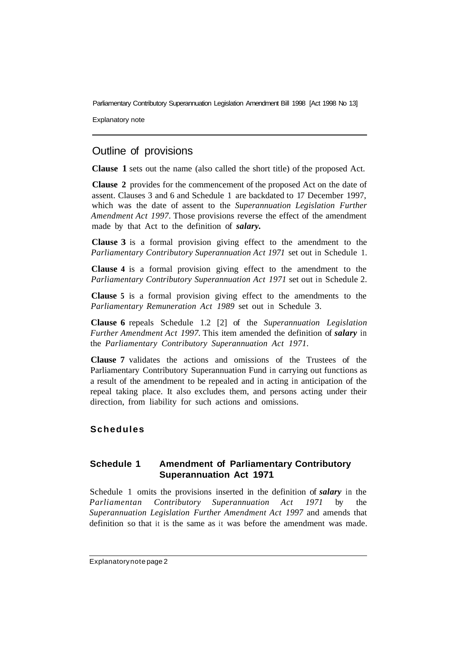Parliamentary Contributory Superannuation Legislation Amendment Bill 1998 [Act 1998 No 13]

Explanatory note

### Outline of provisions

**Clause 1** sets out the name (also called the short title) of the proposed Act.

**Clause 2** provides for the commencement of the proposed Act on the date of assent. Clauses 3 and 6 and Schedule 1 are backdated to 17 December 1997, which was the date of assent to the *Superannuation Legislation Further Amendment Act 1997.* Those provisions reverse the effect of the amendment made by that Act to the definition of *salary.* 

**Clause 3** is a formal provision giving effect to the amendment to the *Parliamentary Contributory Superannuation Act 1971* set out in Schedule 1.

**Clause 4** is a formal provision giving effect to the amendment to the *Parliamentary Contributory Superannuation Act 1971* set out in Schedule 2.

**Clause 5** is a formal provision giving effect to the amendments to the *Parliamentary Remuneration Act 1989* set out in Schedule 3.

**Clause 6** repeals Schedule 1.2 [2] of the *Superannuation Legislation Further Amendment Act 1997.* This item amended the definition of *salary* in the *Parliamentary Contributory Superannuation Act 1971.* 

**Clause 7** validates the actions and omissions of the Trustees of the Parliamentary Contributory Superannuation Fund in carrying out functions as a result of the amendment to be repealed and in acting in anticipation of the repeal taking place. It also excludes them, and persons acting under their direction, from liability for such actions and omissions.

### **Schedules**

### **Schedule 1 Amendment of Parliamentary Contributory Superannuation Act 1971**

Schedule 1 omits the provisions inserted in the definition of *salary* in the *Parliamentan Contributory Superannuation Act 1971* by the *Superannuation Legislation Further Amendment Act 1997* and amends that definition so that it is the same as it was before the amendment was made.

#### Explanatory note page 2